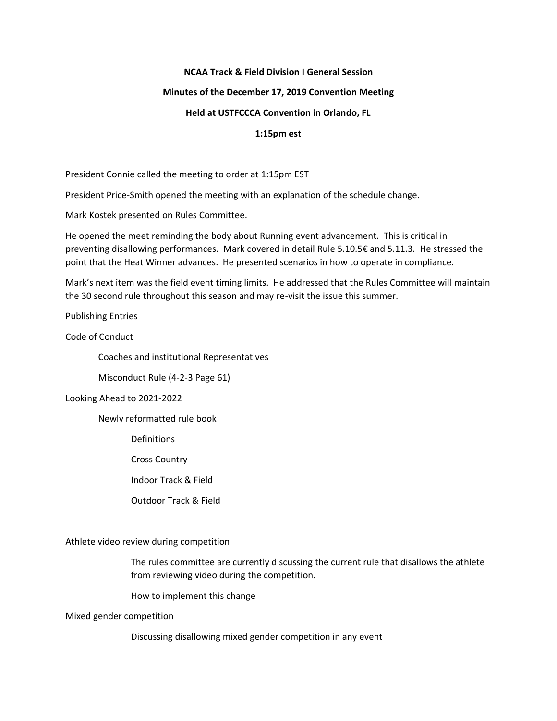## **NCAA Track & Field Division I General Session**

### **Minutes of the December 17, 2019 Convention Meeting**

## **Held at USTFCCCA Convention in Orlando, FL**

#### **1:15pm est**

President Connie called the meeting to order at 1:15pm EST

President Price-Smith opened the meeting with an explanation of the schedule change.

Mark Kostek presented on Rules Committee.

He opened the meet reminding the body about Running event advancement. This is critical in preventing disallowing performances. Mark covered in detail Rule 5.10.5€ and 5.11.3. He stressed the point that the Heat Winner advances. He presented scenarios in how to operate in compliance.

Mark's next item was the field event timing limits. He addressed that the Rules Committee will maintain the 30 second rule throughout this season and may re-visit the issue this summer.

Publishing Entries

Code of Conduct

Coaches and institutional Representatives

Misconduct Rule (4-2-3 Page 61)

Looking Ahead to 2021-2022

Newly reformatted rule book

Definitions

Cross Country

Indoor Track & Field

Outdoor Track & Field

Athlete video review during competition

The rules committee are currently discussing the current rule that disallows the athlete from reviewing video during the competition.

How to implement this change

Mixed gender competition

Discussing disallowing mixed gender competition in any event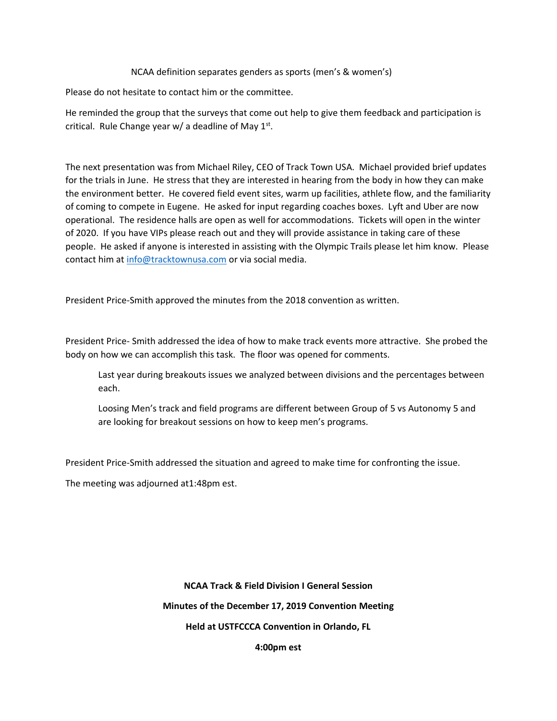## NCAA definition separates genders as sports (men's & women's)

Please do not hesitate to contact him or the committee.

He reminded the group that the surveys that come out help to give them feedback and participation is critical. Rule Change year w/ a deadline of May  $1<sup>st</sup>$ .

The next presentation was from Michael Riley, CEO of Track Town USA. Michael provided brief updates for the trials in June. He stress that they are interested in hearing from the body in how they can make the environment better. He covered field event sites, warm up facilities, athlete flow, and the familiarity of coming to compete in Eugene. He asked for input regarding coaches boxes. Lyft and Uber are now operational. The residence halls are open as well for accommodations. Tickets will open in the winter of 2020. If you have VIPs please reach out and they will provide assistance in taking care of these people. He asked if anyone is interested in assisting with the Olympic Trails please let him know. Please contact him at [info@tracktownusa.com](mailto:info@tracktownusa.com) or via social media.

President Price-Smith approved the minutes from the 2018 convention as written.

President Price- Smith addressed the idea of how to make track events more attractive. She probed the body on how we can accomplish this task. The floor was opened for comments.

Last year during breakouts issues we analyzed between divisions and the percentages between each.

Loosing Men's track and field programs are different between Group of 5 vs Autonomy 5 and are looking for breakout sessions on how to keep men's programs.

President Price-Smith addressed the situation and agreed to make time for confronting the issue.

The meeting was adjourned at1:48pm est.

**NCAA Track & Field Division I General Session Minutes of the December 17, 2019 Convention Meeting Held at USTFCCCA Convention in Orlando, FL**

**4:00pm est**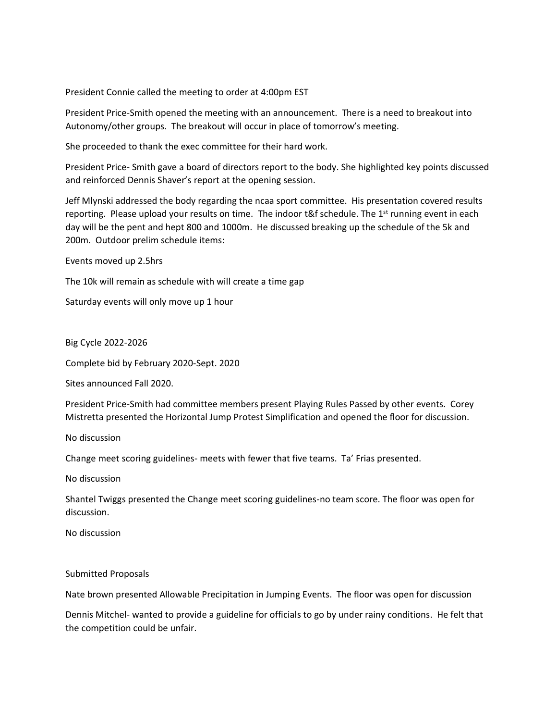President Connie called the meeting to order at 4:00pm EST

President Price-Smith opened the meeting with an announcement. There is a need to breakout into Autonomy/other groups. The breakout will occur in place of tomorrow's meeting.

She proceeded to thank the exec committee for their hard work.

President Price- Smith gave a board of directors report to the body. She highlighted key points discussed and reinforced Dennis Shaver's report at the opening session.

Jeff Mlynski addressed the body regarding the ncaa sport committee. His presentation covered results reporting. Please upload your results on time. The indoor  $t\&f$  schedule. The 1<sup>st</sup> running event in each day will be the pent and hept 800 and 1000m. He discussed breaking up the schedule of the 5k and 200m. Outdoor prelim schedule items:

Events moved up 2.5hrs

The 10k will remain as schedule with will create a time gap

Saturday events will only move up 1 hour

Big Cycle 2022-2026

Complete bid by February 2020-Sept. 2020

Sites announced Fall 2020.

President Price-Smith had committee members present Playing Rules Passed by other events. Corey Mistretta presented the Horizontal Jump Protest Simplification and opened the floor for discussion.

No discussion

Change meet scoring guidelines- meets with fewer that five teams. Ta' Frias presented.

No discussion

Shantel Twiggs presented the Change meet scoring guidelines-no team score. The floor was open for discussion.

No discussion

Submitted Proposals

Nate brown presented Allowable Precipitation in Jumping Events. The floor was open for discussion

Dennis Mitchel- wanted to provide a guideline for officials to go by under rainy conditions. He felt that the competition could be unfair.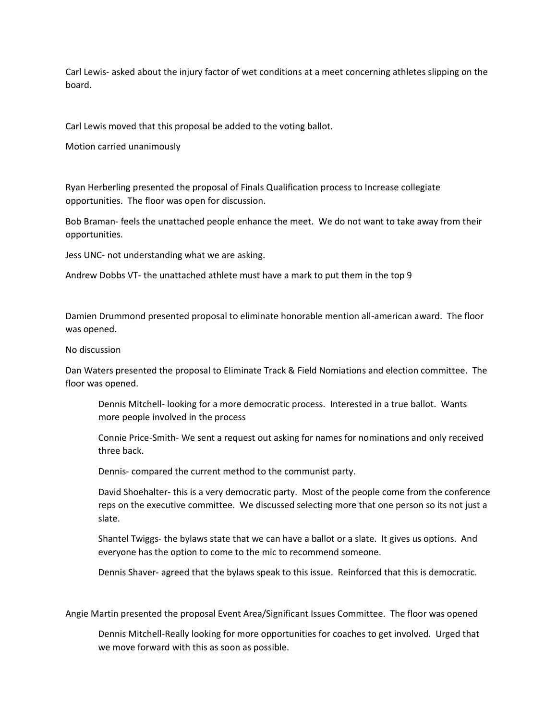Carl Lewis- asked about the injury factor of wet conditions at a meet concerning athletes slipping on the board.

Carl Lewis moved that this proposal be added to the voting ballot.

Motion carried unanimously

Ryan Herberling presented the proposal of Finals Qualification process to Increase collegiate opportunities. The floor was open for discussion.

Bob Braman- feels the unattached people enhance the meet. We do not want to take away from their opportunities.

Jess UNC- not understanding what we are asking.

Andrew Dobbs VT- the unattached athlete must have a mark to put them in the top 9

Damien Drummond presented proposal to eliminate honorable mention all-american award. The floor was opened.

#### No discussion

Dan Waters presented the proposal to Eliminate Track & Field Nomiations and election committee. The floor was opened.

Dennis Mitchell- looking for a more democratic process. Interested in a true ballot. Wants more people involved in the process

Connie Price-Smith- We sent a request out asking for names for nominations and only received three back.

Dennis- compared the current method to the communist party.

David Shoehalter- this is a very democratic party. Most of the people come from the conference reps on the executive committee. We discussed selecting more that one person so its not just a slate.

Shantel Twiggs- the bylaws state that we can have a ballot or a slate. It gives us options. And everyone has the option to come to the mic to recommend someone.

Dennis Shaver- agreed that the bylaws speak to this issue. Reinforced that this is democratic.

Angie Martin presented the proposal Event Area/Significant Issues Committee. The floor was opened

Dennis Mitchell-Really looking for more opportunities for coaches to get involved. Urged that we move forward with this as soon as possible.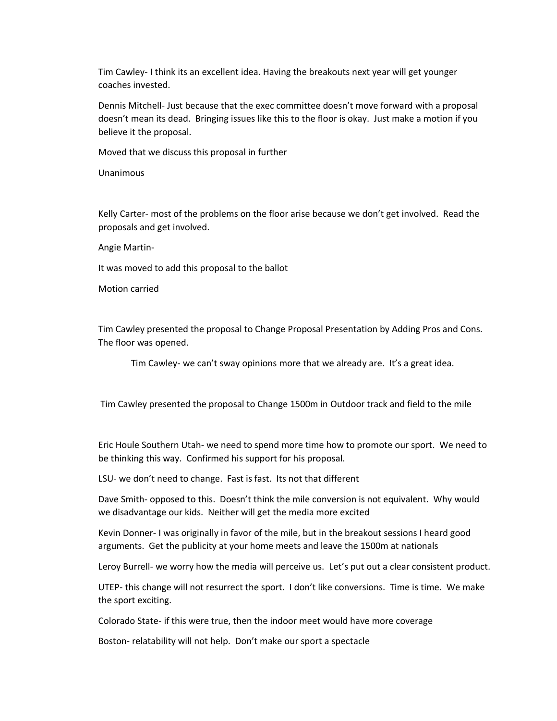Tim Cawley- I think its an excellent idea. Having the breakouts next year will get younger coaches invested.

Dennis Mitchell- Just because that the exec committee doesn't move forward with a proposal doesn't mean its dead. Bringing issues like this to the floor is okay. Just make a motion if you believe it the proposal.

Moved that we discuss this proposal in further

Unanimous

Kelly Carter- most of the problems on the floor arise because we don't get involved. Read the proposals and get involved.

Angie Martin-

It was moved to add this proposal to the ballot

Motion carried

Tim Cawley presented the proposal to Change Proposal Presentation by Adding Pros and Cons. The floor was opened.

Tim Cawley- we can't sway opinions more that we already are. It's a great idea.

Tim Cawley presented the proposal to Change 1500m in Outdoor track and field to the mile

Eric Houle Southern Utah- we need to spend more time how to promote our sport. We need to be thinking this way. Confirmed his support for his proposal.

LSU- we don't need to change. Fast is fast. Its not that different

Dave Smith- opposed to this. Doesn't think the mile conversion is not equivalent. Why would we disadvantage our kids. Neither will get the media more excited

Kevin Donner- I was originally in favor of the mile, but in the breakout sessions I heard good arguments. Get the publicity at your home meets and leave the 1500m at nationals

Leroy Burrell- we worry how the media will perceive us. Let's put out a clear consistent product.

UTEP- this change will not resurrect the sport. I don't like conversions. Time is time. We make the sport exciting.

Colorado State- if this were true, then the indoor meet would have more coverage

Boston- relatability will not help. Don't make our sport a spectacle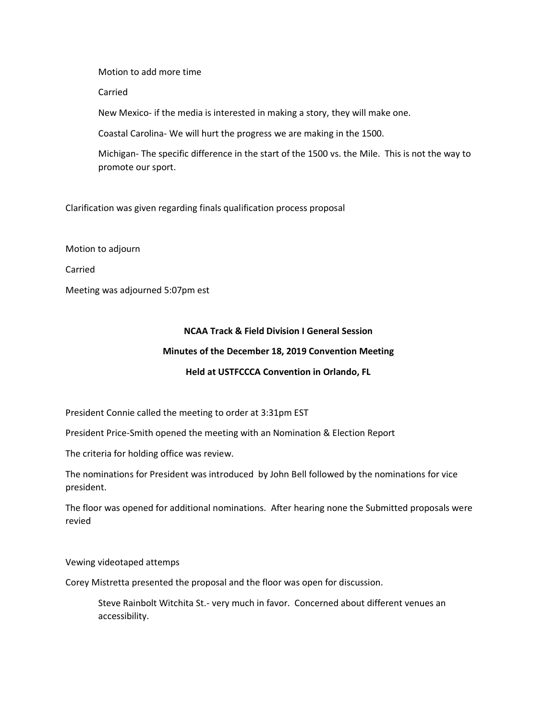Motion to add more time

Carried

New Mexico- if the media is interested in making a story, they will make one.

Coastal Carolina- We will hurt the progress we are making in the 1500.

Michigan- The specific difference in the start of the 1500 vs. the Mile. This is not the way to promote our sport.

Clarification was given regarding finals qualification process proposal

Motion to adjourn

Carried

Meeting was adjourned 5:07pm est

## **NCAA Track & Field Division I General Session**

### **Minutes of the December 18, 2019 Convention Meeting**

## **Held at USTFCCCA Convention in Orlando, FL**

President Connie called the meeting to order at 3:31pm EST

President Price-Smith opened the meeting with an Nomination & Election Report

The criteria for holding office was review.

The nominations for President was introduced by John Bell followed by the nominations for vice president.

The floor was opened for additional nominations. After hearing none the Submitted proposals were revied

Vewing videotaped attemps

Corey Mistretta presented the proposal and the floor was open for discussion.

Steve Rainbolt Witchita St.- very much in favor. Concerned about different venues an accessibility.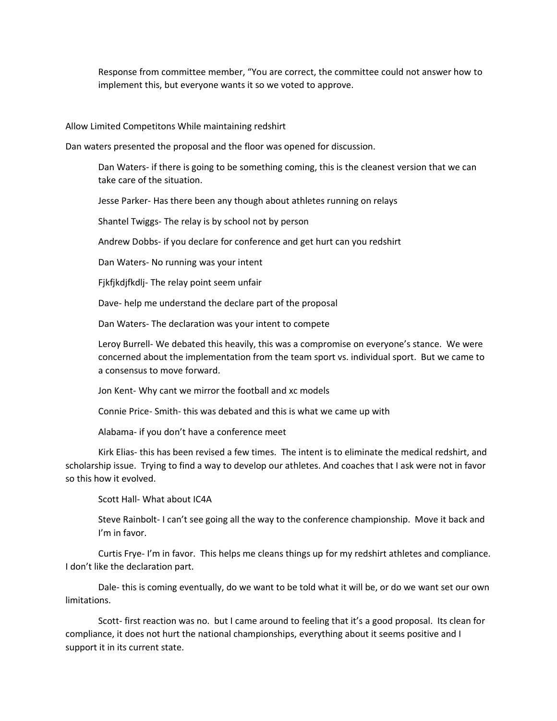Response from committee member, "You are correct, the committee could not answer how to implement this, but everyone wants it so we voted to approve.

Allow Limited Competitons While maintaining redshirt

Dan waters presented the proposal and the floor was opened for discussion.

Dan Waters- if there is going to be something coming, this is the cleanest version that we can take care of the situation.

Jesse Parker- Has there been any though about athletes running on relays

Shantel Twiggs- The relay is by school not by person

Andrew Dobbs- if you declare for conference and get hurt can you redshirt

Dan Waters- No running was your intent

Fjkfjkdjfkdlj- The relay point seem unfair

Dave- help me understand the declare part of the proposal

Dan Waters- The declaration was your intent to compete

Leroy Burrell- We debated this heavily, this was a compromise on everyone's stance. We were concerned about the implementation from the team sport vs. individual sport. But we came to a consensus to move forward.

Jon Kent- Why cant we mirror the football and xc models

Connie Price- Smith- this was debated and this is what we came up with

Alabama- if you don't have a conference meet

Kirk Elias- this has been revised a few times. The intent is to eliminate the medical redshirt, and scholarship issue. Trying to find a way to develop our athletes. And coaches that I ask were not in favor so this how it evolved.

Scott Hall- What about IC4A

Steve Rainbolt- I can't see going all the way to the conference championship. Move it back and I'm in favor.

Curtis Frye- I'm in favor. This helps me cleans things up for my redshirt athletes and compliance. I don't like the declaration part.

Dale- this is coming eventually, do we want to be told what it will be, or do we want set our own limitations.

Scott- first reaction was no. but I came around to feeling that it's a good proposal. Its clean for compliance, it does not hurt the national championships, everything about it seems positive and I support it in its current state.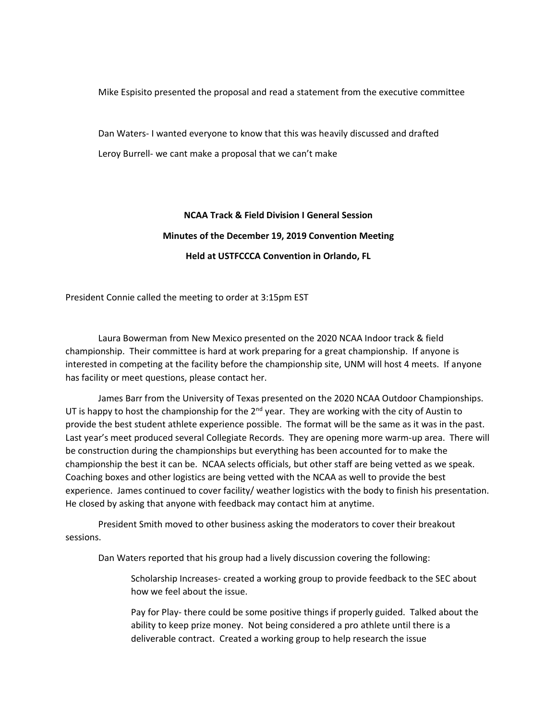Mike Espisito presented the proposal and read a statement from the executive committee

Dan Waters- I wanted everyone to know that this was heavily discussed and drafted Leroy Burrell- we cant make a proposal that we can't make

# **NCAA Track & Field Division I General Session Minutes of the December 19, 2019 Convention Meeting Held at USTFCCCA Convention in Orlando, FL**

President Connie called the meeting to order at 3:15pm EST

Laura Bowerman from New Mexico presented on the 2020 NCAA Indoor track & field championship. Their committee is hard at work preparing for a great championship. If anyone is interested in competing at the facility before the championship site, UNM will host 4 meets. If anyone has facility or meet questions, please contact her.

James Barr from the University of Texas presented on the 2020 NCAA Outdoor Championships. UT is happy to host the championship for the  $2^{nd}$  year. They are working with the city of Austin to provide the best student athlete experience possible. The format will be the same as it was in the past. Last year's meet produced several Collegiate Records. They are opening more warm-up area. There will be construction during the championships but everything has been accounted for to make the championship the best it can be. NCAA selects officials, but other staff are being vetted as we speak. Coaching boxes and other logistics are being vetted with the NCAA as well to provide the best experience. James continued to cover facility/ weather logistics with the body to finish his presentation. He closed by asking that anyone with feedback may contact him at anytime.

President Smith moved to other business asking the moderators to cover their breakout sessions.

Dan Waters reported that his group had a lively discussion covering the following:

Scholarship Increases- created a working group to provide feedback to the SEC about how we feel about the issue.

Pay for Play- there could be some positive things if properly guided. Talked about the ability to keep prize money. Not being considered a pro athlete until there is a deliverable contract. Created a working group to help research the issue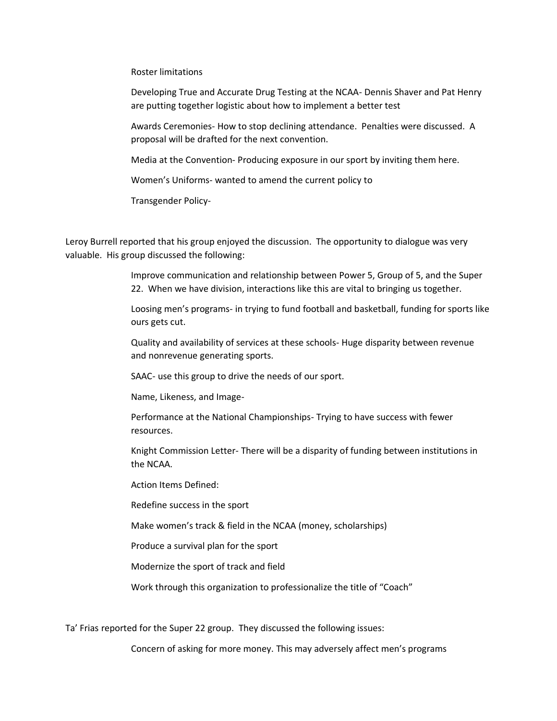Roster limitations

Developing True and Accurate Drug Testing at the NCAA- Dennis Shaver and Pat Henry are putting together logistic about how to implement a better test

Awards Ceremonies- How to stop declining attendance. Penalties were discussed. A proposal will be drafted for the next convention.

Media at the Convention- Producing exposure in our sport by inviting them here.

Women's Uniforms- wanted to amend the current policy to

Transgender Policy-

Leroy Burrell reported that his group enjoyed the discussion. The opportunity to dialogue was very valuable. His group discussed the following:

> Improve communication and relationship between Power 5, Group of 5, and the Super 22. When we have division, interactions like this are vital to bringing us together.

Loosing men's programs- in trying to fund football and basketball, funding for sports like ours gets cut.

Quality and availability of services at these schools- Huge disparity between revenue and nonrevenue generating sports.

SAAC- use this group to drive the needs of our sport.

Name, Likeness, and Image-

Performance at the National Championships- Trying to have success with fewer resources.

Knight Commission Letter- There will be a disparity of funding between institutions in the NCAA.

Action Items Defined:

Redefine success in the sport

Make women's track & field in the NCAA (money, scholarships)

Produce a survival plan for the sport

Modernize the sport of track and field

Work through this organization to professionalize the title of "Coach"

Ta' Frias reported for the Super 22 group. They discussed the following issues:

Concern of asking for more money. This may adversely affect men's programs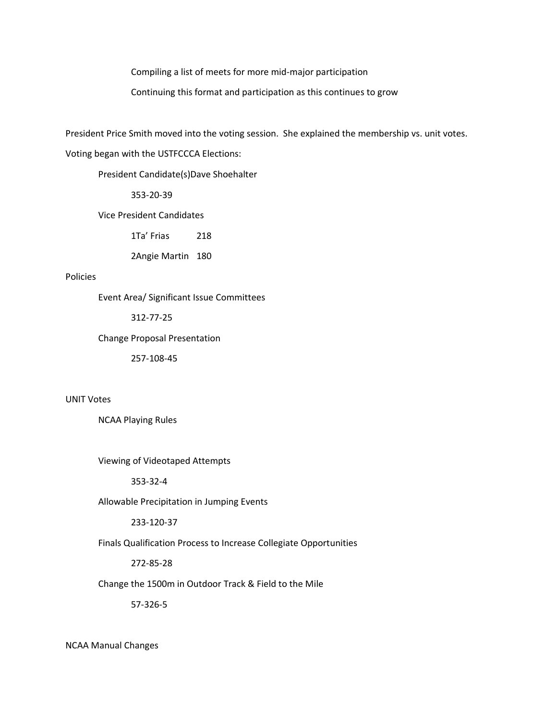Compiling a list of meets for more mid-major participation

Continuing this format and participation as this continues to grow

President Price Smith moved into the voting session. She explained the membership vs. unit votes.

Voting began with the USTFCCCA Elections:

President Candidate(s)Dave Shoehalter

353-20-39

Vice President Candidates

1Ta' Frias 218

2Angie Martin 180

### Policies

Event Area/ Significant Issue Committees

312-77-25

Change Proposal Presentation

257-108-45

UNIT Votes

NCAA Playing Rules

Viewing of Videotaped Attempts

353-32-4

#### Allowable Precipitation in Jumping Events

233-120-37

Finals Qualification Process to Increase Collegiate Opportunities

272-85-28

Change the 1500m in Outdoor Track & Field to the Mile

57-326-5

NCAA Manual Changes